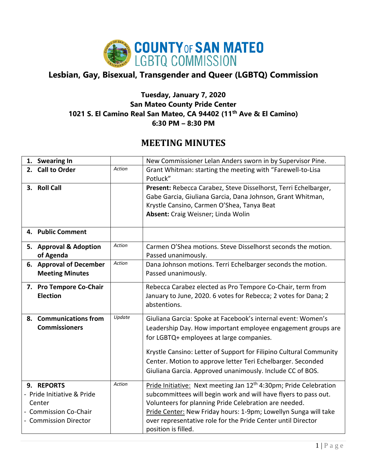

## **Lesbian, Gay, Bisexual, Transgender and Queer (LGBTQ) Commission**

## **Tuesday, January 7, 2020 San Mateo County Pride Center 1021 S. El Camino Real San Mateo, CA 94402 (11th Ave & El Camino) 6:30 PM – 8:30 PM**

## **MEETING MINUTES**

| 1. Swearing In                                                                                            |        | New Commissioner Lelan Anders sworn in by Supervisor Pine.                                                                                                                                                                                                                                                                                                                 |
|-----------------------------------------------------------------------------------------------------------|--------|----------------------------------------------------------------------------------------------------------------------------------------------------------------------------------------------------------------------------------------------------------------------------------------------------------------------------------------------------------------------------|
| 2. Call to Order                                                                                          | Action | Grant Whitman: starting the meeting with "Farewell-to-Lisa<br>Potluck"                                                                                                                                                                                                                                                                                                     |
| 3. Roll Call                                                                                              |        | Present: Rebecca Carabez, Steve Disselhorst, Terri Echelbarger,<br>Gabe Garcia, Giuliana Garcia, Dana Johnson, Grant Whitman,<br>Krystle Cansino, Carmen O'Shea, Tanya Beat<br>Absent: Craig Weisner; Linda Wolin                                                                                                                                                          |
| 4. Public Comment                                                                                         |        |                                                                                                                                                                                                                                                                                                                                                                            |
| 5. Approval & Adoption<br>of Agenda                                                                       | Action | Carmen O'Shea motions. Steve Disselhorst seconds the motion.<br>Passed unanimously.                                                                                                                                                                                                                                                                                        |
| 6. Approval of December<br><b>Meeting Minutes</b>                                                         | Action | Dana Johnson motions. Terri Echelbarger seconds the motion.<br>Passed unanimously.                                                                                                                                                                                                                                                                                         |
| 7. Pro Tempore Co-Chair<br><b>Election</b>                                                                |        | Rebecca Carabez elected as Pro Tempore Co-Chair, term from<br>January to June, 2020. 6 votes for Rebecca; 2 votes for Dana; 2<br>abstentions.                                                                                                                                                                                                                              |
| <b>Communications from</b><br>8.<br><b>Commissioners</b>                                                  | Update | Giuliana Garcia: Spoke at Facebook's internal event: Women's<br>Leadership Day. How important employee engagement groups are<br>for LGBTQ+ employees at large companies.<br>Krystle Cansino: Letter of Support for Filipino Cultural Community<br>Center. Motion to approve letter Teri Echelbarger. Seconded<br>Giuliana Garcia. Approved unanimously. Include CC of BOS. |
| 9. REPORTS<br>- Pride Initiative & Pride<br>Center<br><b>Commission Co-Chair</b><br>- Commission Director | Action | Pride Initiative: Next meeting Jan 12 <sup>th</sup> 4:30pm; Pride Celebration<br>subcommittees will begin work and will have flyers to pass out.<br>Volunteers for planning Pride Celebration are needed.<br>Pride Center: New Friday hours: 1-9pm; Lowellyn Sunga will take<br>over representative role for the Pride Center until Director<br>position is filled.        |